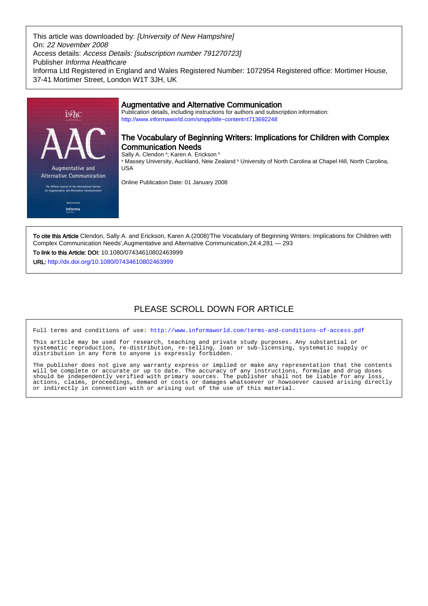This article was downloaded by: [University of New Hampshire] On: 22 November 2008 Access details: Access Details: [subscription number 791270723] Publisher Informa Healthcare Informa Ltd Registered in England and Wales Registered Number: 1072954 Registered office: Mortimer House, 37-41 Mortimer Street, London W1T 3JH, UK



To cite this Article Clendon, Sally A. and Erickson, Karen A.(2008)'The Vocabulary of Beginning Writers: Implications for Children with Complex Communication Needs',Augmentative and Alternative Communication,24:4,281 — 293

To link to this Article: DOI: 10.1080/07434610802463999

URL: <http://dx.doi.org/10.1080/07434610802463999>

## PLEASE SCROLL DOWN FOR ARTICLE

Full terms and conditions of use:<http://www.informaworld.com/terms-and-conditions-of-access.pdf>

This article may be used for research, teaching and private study purposes. Any substantial or systematic reproduction, re-distribution, re-selling, loan or sub-licensing, systematic supply or distribution in any form to anyone is expressly forbidden.

The publisher does not give any warranty express or implied or make any representation that the contents will be complete or accurate or up to date. The accuracy of any instructions, formulae and drug doses should be independently verified with primary sources. The publisher shall not be liable for any loss, actions, claims, proceedings, demand or costs or damages whatsoever or howsoever caused arising directly or indirectly in connection with or arising out of the use of this material.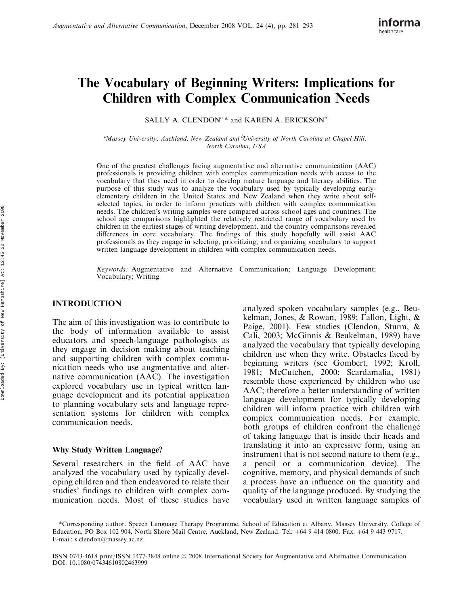# The Vocabulary of Beginning Writers: Implications for Children with Complex Communication Needs

SALLY A. CLENDON<sup>a,\*</sup> and KAREN A. ERICKSON<sup>b</sup>

<sup>a</sup>Massey University, Auckland, New Zealand and <sup>b</sup>University of North Carolina at Chapel Hill, North Carolina, USA

One of the greatest challenges facing augmentative and alternative communication (AAC) professionals is providing children with complex communication needs with access to the vocabulary that they need in order to develop mature language and literacy abilities. The purpose of this study was to analyze the vocabulary used by typically developing earlyelementary children in the United States and New Zealand when they write about selfselected topics, in order to inform practices with children with complex communication needs. The children's writing samples were compared across school ages and countries. The school age comparisons highlighted the relatively restricted range of vocabulary used by children in the earliest stages of writing development, and the country comparisons revealed differences in core vocabulary. The findings of this study hopefully will assist AAC professionals as they engage in selecting, prioritizing, and organizing vocabulary to support written language development in children with complex communication needs.

Keywords: Augmentative and Alternative Communication; Language Development; Vocabulary; Writing

## INTRODUCTION

The aim of this investigation was to contribute to the body of information available to assist educators and speech-language pathologists as they engage in decision making about teaching and supporting children with complex communication needs who use augmentative and alternative communication (AAC). The investigation explored vocabulary use in typical written language development and its potential application to planning vocabulary sets and language representation systems for children with complex communication needs.

#### Why Study Written Language?

Several researchers in the field of AAC have analyzed the vocabulary used by typically developing children and then endeavored to relate their studies' findings to children with complex communication needs. Most of these studies have analyzed spoken vocabulary samples (e.g., Beukelman, Jones, & Rowan, 1989; Fallon, Light, & Paige, 2001). Few studies (Clendon, Sturm, & Cali, 2003; McGinnis & Beukelman, 1989) have analyzed the vocabulary that typically developing children use when they write. Obstacles faced by beginning writers (see Gombert, 1992; Kroll, 1981; McCutchen, 2000; Scardamalia, 1981) resemble those experienced by children who use AAC; therefore a better understanding of written language development for typically developing children will inform practice with children with complex communication needs. For example, both groups of children confront the challenge of taking language that is inside their heads and translating it into an expressive form, using an instrument that is not second nature to them (e.g., a pencil or a communication device). The cognitive, memory, and physical demands of such a process have an influence on the quantity and quality of the language produced. By studying the vocabulary used in written language samples of

<sup>\*</sup>Corresponding author. Speech Language Therapy Programme, School of Education at Albany, Massey University, College of Education, PO Box 102 904, North Shore Mail Centre, Auckland, New Zealand. Tel: +64 9 414 0800. Fax: +64 9 443 9717. E-mail: s.clendon@massey.ac.nz

ISSN 0743-4618 print/ISSN 1477-3848 online © 2008 International Society for Augmentative and Alternative Communication DOI: 10.1080/07434610802463999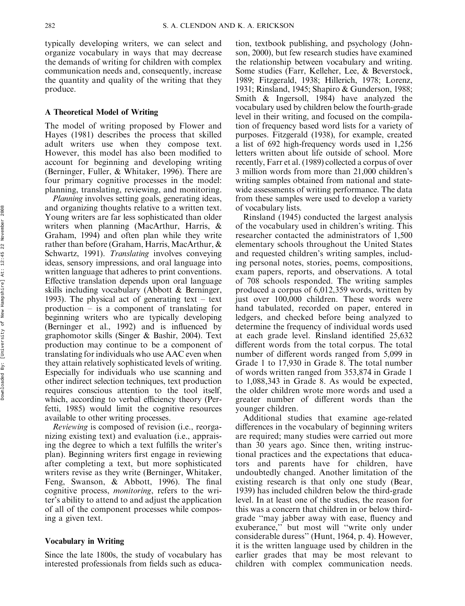typically developing writers, we can select and organize vocabulary in ways that may decrease the demands of writing for children with complex communication needs and, consequently, increase the quantity and quality of the writing that they produce.

### A Theoretical Model of Writing

The model of writing proposed by Flower and Hayes (1981) describes the process that skilled adult writers use when they compose text. However, this model has also been modified to account for beginning and developing writing (Berninger, Fuller, & Whitaker, 1996). There are four primary cognitive processes in the model: planning, translating, reviewing, and monitoring.

Planning involves setting goals, generating ideas, and organizing thoughts relative to a written text. Young writers are far less sophisticated than older writers when planning (MacArthur, Harris, & Graham, 1994) and often plan while they write rather than before (Graham, Harris, MacArthur, & Schwartz, 1991). Translating involves conveying ideas, sensory impressions, and oral language into written language that adheres to print conventions. Effective translation depends upon oral language skills including vocabulary (Abbott & Berninger, 1993). The physical act of generating text – text production – is a component of translating for beginning writers who are typically developing (Berninger et al., 1992) and is influenced by graphomotor skills (Singer & Bashir, 2004). Text production may continue to be a component of translating for individuals who use AAC even when they attain relatively sophisticated levels of writing. Especially for individuals who use scanning and other indirect selection techniques, text production requires conscious attention to the tool itself, which, according to verbal efficiency theory (Perfetti, 1985) would limit the cognitive resources available to other writing processes.

Reviewing is composed of revision (i.e., reorganizing existing text) and evaluation (i.e., appraising the degree to which a text fulfills the writer's plan). Beginning writers first engage in reviewing after completing a text, but more sophisticated writers revise as they write (Berninger, Whitaker, Feng, Swanson, & Abbott, 1996). The final cognitive process, monitoring, refers to the writer's ability to attend to and adjust the application of all of the component processes while composing a given text.

#### Vocabulary in Writing

Since the late 1800s, the study of vocabulary has interested professionals from fields such as education, textbook publishing, and psychology (Johnson, 2000), but few research studies have examined the relationship between vocabulary and writing. Some studies (Farr, Kelleher, Lee, & Beverstock, 1989; Fitzgerald, 1938; Hillerich, 1978; Lorenz, 1931; Rinsland, 1945; Shapiro & Gunderson, 1988; Smith & Ingersoll, 1984) have analyzed the vocabulary used by children below the fourth-grade level in their writing, and focused on the compilation of frequency based word lists for a variety of purposes. Fitzgerald (1938), for example, created a list of 692 high-frequency words used in 1,256 letters written about life outside of school. More recently, Farr et al. (1989) collected a corpus of over 3 million words from more than 21,000 children's writing samples obtained from national and statewide assessments of writing performance. The data from these samples were used to develop a variety of vocabulary lists.

Rinsland (1945) conducted the largest analysis of the vocabulary used in children's writing. This researcher contacted the administrators of 1,500 elementary schools throughout the United States and requested children's writing samples, including personal notes, stories, poems, compositions, exam papers, reports, and observations. A total of 708 schools responded. The writing samples produced a corpus of 6,012,359 words, written by just over 100,000 children. These words were hand tabulated, recorded on paper, entered in ledgers, and checked before being analyzed to determine the frequency of individual words used at each grade level. Rinsland identified 25,632 different words from the total corpus. The total number of different words ranged from 5,099 in Grade 1 to 17,930 in Grade 8. The total number of words written ranged from 353,874 in Grade 1 to 1,088,343 in Grade 8. As would be expected, the older children wrote more words and used a greater number of different words than the younger children.

Additional studies that examine age-related differences in the vocabulary of beginning writers are required; many studies were carried out more than 30 years ago. Since then, writing instructional practices and the expectations that educators and parents have for children, have undoubtedly changed. Another limitation of the existing research is that only one study (Bear, 1939) has included children below the third-grade level. In at least one of the studies, the reason for this was a concern that children in or below thirdgrade ''may jabber away with ease, fluency and exuberance,'' but most will ''write only under considerable duress'' (Hunt, 1964, p. 4). However, it is the written language used by children in the earlier grades that may be most relevant to children with complex communication needs.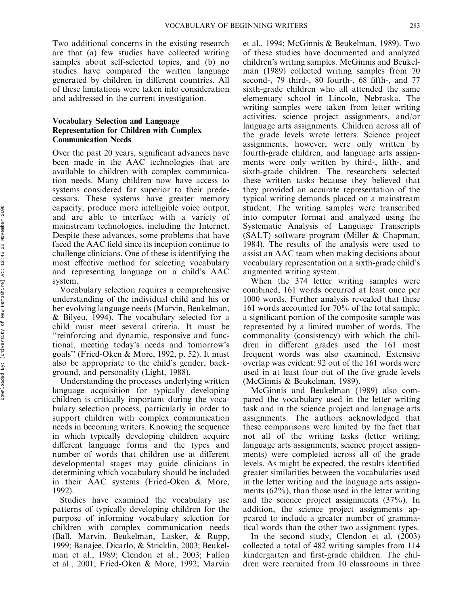Two additional concerns in the existing research are that (a) few studies have collected writing samples about self-selected topics, and (b) no studies have compared the written language generated by children in different countries. All of these limitations were taken into consideration and addressed in the current investigation.

## Vocabulary Selection and Language Representation for Children with Complex Communication Needs

Over the past 20 years, significant advances have been made in the AAC technologies that are available to children with complex communication needs. Many children now have access to systems considered far superior to their predecessors. These systems have greater memory capacity, produce more intelligible voice output, and are able to interface with a variety of mainstream technologies, including the Internet. Despite these advances, some problems that have faced the AAC field since its inception continue to challenge clinicians. One of these is identifying the most effective method for selecting vocabulary and representing language on a child's AAC system.

Vocabulary selection requires a comprehensive understanding of the individual child and his or her evolving language needs (Marvin, Beukelman, & Bilyeu, 1994). The vocabulary selected for a child must meet several criteria. It must be ''reinforcing and dynamic, responsive and functional, meeting today's needs and tomorrow's goals'' (Fried-Oken & More, 1992, p. 52). It must also be appropriate to the child's gender, background, and personality (Light, 1988).

Understanding the processes underlying written language acquisition for typically developing children is critically important during the vocabulary selection process, particularly in order to support children with complex communication needs in becoming writers. Knowing the sequence in which typically developing children acquire different language forms and the types and number of words that children use at different developmental stages may guide clinicians in determining which vocabulary should be included in their AAC systems (Fried-Oken & More, 1992).

Studies have examined the vocabulary use patterns of typically developing children for the purpose of informing vocabulary selection for children with complex communication needs (Ball, Marvin, Beukelman, Lasker, & Rupp, 1999; Banajee, Dicarlo, & Stricklin, 2003; Beukelman et al., 1989; Clendon et al., 2003; Fallon et al., 2001; Fried-Oken & More, 1992; Marvin et al., 1994; McGinnis & Beukelman, 1989). Two of these studies have documented and analyzed children's writing samples. McGinnis and Beukelman (1989) collected writing samples from 70 second-, 79 third-, 80 fourth-, 68 fifth-, and 77 sixth-grade children who all attended the same elementary school in Lincoln, Nebraska. The writing samples were taken from letter writing activities, science project assignments, and/or language arts assignments. Children across all of the grade levels wrote letters. Science project assignments, however, were only written by fourth-grade children, and language arts assignments were only written by third-, fifth-, and sixth-grade children. The researchers selected these written tasks because they believed that they provided an accurate representation of the typical writing demands placed on a mainstream student. The writing samples were transcribed into computer format and analyzed using the Systematic Analysis of Language Transcripts (SALT) software program (Miller & Chapman, 1984). The results of the analysis were used to assist an AAC team when making decisions about vocabulary representation on a sixth-grade child's augmented writing system.

When the 374 letter writing samples were combined, 161 words occurred at least once per 1000 words. Further analysis revealed that these 161 words accounted for 70% of the total sample; a significant portion of the composite sample was represented by a limited number of words. The commonality (consistency) with which the children in different grades used the 161 most frequent words was also examined. Extensive overlap was evident: 92 out of the 161 words were used in at least four out of the five grade levels (McGinnis & Beukelman, 1989).

McGinnis and Beukelman (1989) also compared the vocabulary used in the letter writing task and in the science project and language arts assignments. The authors acknowledged that these comparisons were limited by the fact that not all of the writing tasks (letter writing, language arts assignments, science project assignments) were completed across all of the grade levels. As might be expected, the results identified greater similarities between the vocabularies used in the letter writing and the language arts assignments (62%), than those used in the letter writing and the science project assignments (37%). In addition, the science project assignments appeared to include a greater number of grammatical words than the other two assignment types.

In the second study, Clendon et al. (2003) collected a total of 482 writing samples from 114 kindergarten and first-grade children. The children were recruited from 10 classrooms in three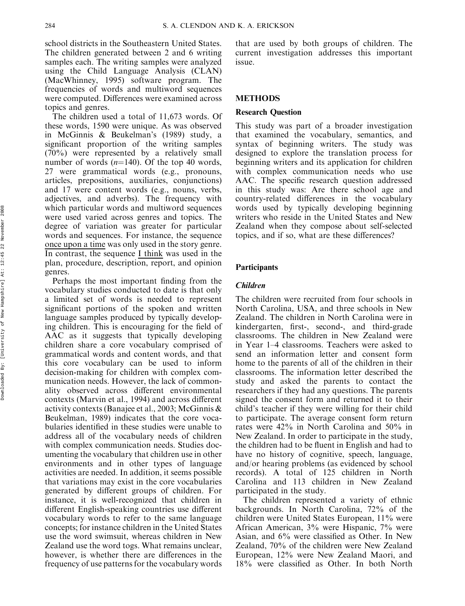school districts in the Southeastern United States. The children generated between 2 and 6 writing samples each. The writing samples were analyzed using the Child Language Analysis (CLAN) (MacWhinney, 1995) software program. The frequencies of words and multiword sequences were computed. Differences were examined across topics and genres.

The children used a total of 11,673 words. Of these words, 1590 were unique. As was observed in McGinnis & Beukelman's (1989) study, a significant proportion of the writing samples (70%) were represented by a relatively small number of words  $(n=140)$ . Of the top 40 words, 27 were grammatical words (e.g., pronouns, articles, prepositions, auxiliaries, conjunctions) and 17 were content words (e.g., nouns, verbs, adjectives, and adverbs). The frequency with which particular words and multiword sequences were used varied across genres and topics. The degree of variation was greater for particular words and sequences. For instance, the sequence once upon a time was only used in the story genre. In contrast, the sequence I think was used in the plan, procedure, description, report, and opinion genres.

Perhaps the most important finding from the vocabulary studies conducted to date is that only a limited set of words is needed to represent significant portions of the spoken and written language samples produced by typically developing children. This is encouraging for the field of AAC as it suggests that typically developing children share a core vocabulary comprised of grammatical words and content words, and that this core vocabulary can be used to inform decision-making for children with complex communication needs. However, the lack of commonality observed across different environmental contexts (Marvin et al., 1994) and across different activity contexts (Banajee et al., 2003; McGinnis & Beukelman, 1989) indicates that the core vocabularies identified in these studies were unable to address all of the vocabulary needs of children with complex communication needs. Studies documenting the vocabulary that children use in other environments and in other types of language activities are needed. In addition, it seems possible that variations may exist in the core vocabularies generated by different groups of children. For instance, it is well-recognized that children in different English-speaking countries use different vocabulary words to refer to the same language concepts; for instance children in the United States use the word swimsuit, whereas children in New Zealand use the word togs. What remains unclear, however, is whether there are differences in the frequency of use patterns for the vocabulary words

that are used by both groups of children. The current investigation addresses this important issue.

## METHODS

#### Research Question

This study was part of a broader investigation that examined the vocabulary, semantics, and syntax of beginning writers. The study was designed to explore the translation process for beginning writers and its application for children with complex communication needs who use AAC. The specific research question addressed in this study was: Are there school age and country-related differences in the vocabulary words used by typically developing beginning writers who reside in the United States and New Zealand when they compose about self-selected topics, and if so, what are these differences?

#### **Participants**

#### Children

The children were recruited from four schools in North Carolina, USA, and three schools in New Zealand. The children in North Carolina were in kindergarten, first-, second-, and third-grade classrooms. The children in New Zealand were in Year 1–4 classrooms. Teachers were asked to send an information letter and consent form home to the parents of all of the children in their classrooms. The information letter described the study and asked the parents to contact the researchers if they had any questions. The parents signed the consent form and returned it to their child's teacher if they were willing for their child to participate. The average consent form return rates were 42% in North Carolina and 50% in New Zealand. In order to participate in the study, the children had to be fluent in English and had to have no history of cognitive, speech, language, and/or hearing problems (as evidenced by school records). A total of 125 children in North Carolina and 113 children in New Zealand participated in the study.

The children represented a variety of ethnic backgrounds. In North Carolina, 72% of the children were United States European, 11% were African American, 3% were Hispanic, 7% were Asian, and 6% were classified as Other. In New Zealand, 70% of the children were New Zealand European, 12% were New Zealand Maori, and 18% were classified as Other. In both North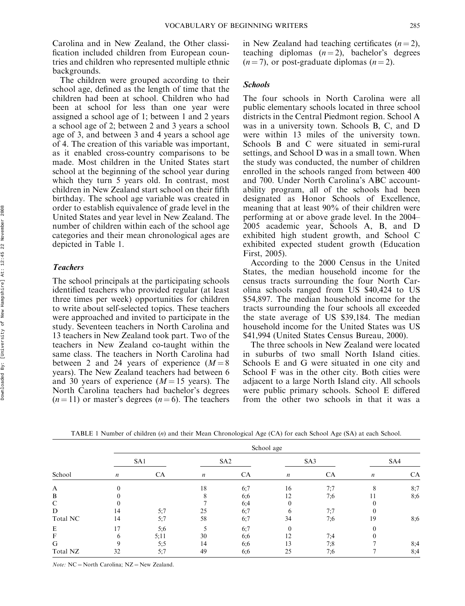Carolina and in New Zealand, the Other classification included children from European countries and children who represented multiple ethnic backgrounds.

The children were grouped according to their school age, defined as the length of time that the children had been at school. Children who had been at school for less than one year were assigned a school age of 1; between 1 and 2 years a school age of 2; between 2 and 3 years a school age of 3, and between 3 and 4 years a school age of 4. The creation of this variable was important, as it enabled cross-country comparisons to be made. Most children in the United States start school at the beginning of the school year during which they turn 5 years old. In contrast, most children in New Zealand start school on their fifth birthday. The school age variable was created in order to establish equivalence of grade level in the United States and year level in New Zealand. The number of children within each of the school age categories and their mean chronological ages are depicted in Table 1.

## Teachers

The school principals at the participating schools identified teachers who provided regular (at least three times per week) opportunities for children to write about self-selected topics. These teachers were approached and invited to participate in the study. Seventeen teachers in North Carolina and 13 teachers in New Zealand took part. Two of the teachers in New Zealand co-taught within the same class. The teachers in North Carolina had between 2 and 24 years of experience  $(M=8)$ years). The New Zealand teachers had between 6 and 30 years of experience  $(M = 15$  years). The North Carolina teachers had bachelor's degrees  $(n = 11)$  or master's degrees  $(n = 6)$ . The teachers in New Zealand had teaching certificates  $(n = 2)$ , teaching diplomas  $(n = 2)$ , bachelor's degrees  $(n = 7)$ , or post-graduate diplomas  $(n = 2)$ .

### **Schools**

The four schools in North Carolina were all public elementary schools located in three school districts in the Central Piedmont region. School A was in a university town. Schools B, C, and D were within 13 miles of the university town. Schools B and C were situated in semi-rural settings, and School D was in a small town. When the study was conducted, the number of children enrolled in the schools ranged from between 400 and 700. Under North Carolina's ABC accountability program, all of the schools had been designated as Honor Schools of Excellence, meaning that at least 90% of their children were performing at or above grade level. In the 2004– 2005 academic year, Schools A, B, and D exhibited high student growth, and School C exhibited expected student growth (Education First, 2005).

According to the 2000 Census in the United States, the median household income for the census tracts surrounding the four North Carolina schools ranged from US \$40,424 to US \$54,897. The median household income for the tracts surrounding the four schools all exceeded the state average of US \$39,184. The median household income for the United States was US \$41,994 (United States Census Bureau, 2000).

The three schools in New Zealand were located in suburbs of two small North Island cities. Schools E and G were situated in one city and School F was in the other city. Both cities were adjacent to a large North Island city. All schools were public primary schools. School E differed from the other two schools in that it was a

| School   | School age       |      |                  |     |                  |     |                   |     |
|----------|------------------|------|------------------|-----|------------------|-----|-------------------|-----|
|          | SA1              |      | SA <sub>2</sub>  |     | SA3              |     | SA4               |     |
|          | $\boldsymbol{n}$ | CA   | $\boldsymbol{n}$ | CA  | $\boldsymbol{n}$ | CA  | $\boldsymbol{n}$  | CA  |
| A        |                  |      | 18               | 6:7 | 16               | 7:7 | $\mathsf{\Omega}$ | 8:7 |
| B        |                  |      |                  | 6;6 | 12               | 7;6 |                   | 8;6 |
| C        |                  |      |                  | 6;4 |                  |     |                   |     |
| D        | 14               | 5:7  | 25               | 6:7 | n                | 7:7 |                   |     |
| Total NC | 14               | 5;7  | 58               | 6:7 | 34               | 7:6 | 19                | 8;6 |
| E        | 17               | 5:6  |                  | 6:7 | $\theta$         |     |                   |     |
| F        |                  | 5:11 | 30               | 6;6 | 12               | 7:4 |                   |     |
| G        |                  | 5:5  | 14               | 6;6 | 13               | 7:8 |                   | 8:4 |
| Total NZ | 32               | 5;7  | 49               | 6;6 | 25               | 7:6 |                   | 8;4 |

TABLE 1 Number of children (n) and their Mean Chronological Age (CA) for each School Age (SA) at each School.

*Note:* NC = North Carolina;  $NZ$  = New Zealand.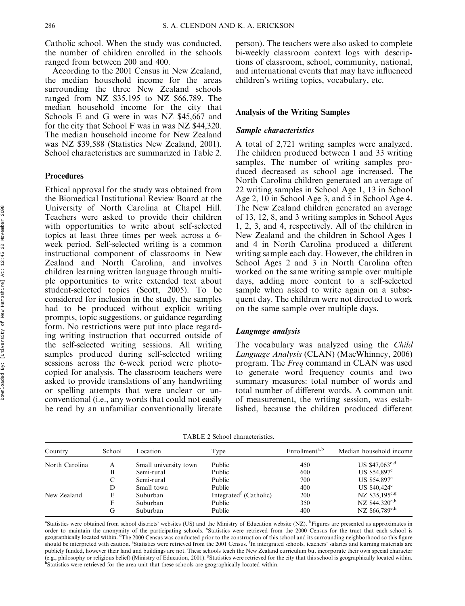Catholic school. When the study was conducted, the number of children enrolled in the schools ranged from between 200 and 400.

According to the 2001 Census in New Zealand, the median household income for the areas surrounding the three New Zealand schools ranged from NZ \$35,195 to NZ \$66,789. The median household income for the city that Schools E and G were in was NZ \$45,667 and for the city that School F was in was NZ \$44,320. The median household income for New Zealand was NZ \$39,588 (Statistics New Zealand, 2001). School characteristics are summarized in Table 2.

## Procedures

Ethical approval for the study was obtained from the Biomedical Institutional Review Board at the University of North Carolina at Chapel Hill. Teachers were asked to provide their children with opportunities to write about self-selected topics at least three times per week across a 6 week period. Self-selected writing is a common instructional component of classrooms in New Zealand and North Carolina, and involves children learning written language through multiple opportunities to write extended text about student-selected topics (Scott, 2005). To be considered for inclusion in the study, the samples had to be produced without explicit writing prompts, topic suggestions, or guidance regarding form. No restrictions were put into place regarding writing instruction that occurred outside of the self-selected writing sessions. All writing samples produced during self-selected writing sessions across the 6-week period were photocopied for analysis. The classroom teachers were asked to provide translations of any handwriting or spelling attempts that were unclear or unconventional (i.e., any words that could not easily be read by an unfamiliar conventionally literate

person). The teachers were also asked to complete bi-weekly classroom context logs with descriptions of classroom, school, community, national, and international events that may have influenced children's writing topics, vocabulary, etc.

#### Analysis of the Writing Samples

#### Sample characteristics

A total of 2,721 writing samples were analyzed. The children produced between 1 and 33 writing samples. The number of writing samples produced decreased as school age increased. The North Carolina children generated an average of 22 writing samples in School Age 1, 13 in School Age 2, 10 in School Age 3, and 5 in School Age 4. The New Zealand children generated an average of 13, 12, 8, and 3 writing samples in School Ages 1, 2, 3, and 4, respectively. All of the children in New Zealand and the children in School Ages 1 and 4 in North Carolina produced a different writing sample each day. However, the children in School Ages 2 and 3 in North Carolina often worked on the same writing sample over multiple days, adding more content to a self-selected sample when asked to write again on a subsequent day. The children were not directed to work on the same sample over multiple days.

#### Language analysis

The vocabulary was analyzed using the *Child* Language Analysis (CLAN) (MacWhinney, 2006) program. The *Freq* command in CLAN was used to generate word frequency counts and two summary measures: total number of words and total number of different words. A common unit of measurement, the writing session, was established, because the children produced different

| Country        | School | Location              | Type                               | Enrollment <sup>a,b</sup> | Median household income    |
|----------------|--------|-----------------------|------------------------------------|---------------------------|----------------------------|
| North Carolina | A      | Small university town | Public                             | 450                       | US $$47,063^{c,d}$         |
|                | B      | Semi-rural            | Public                             | 600                       | US \$54,897°               |
|                | C      | Semi-rural            | Public                             | 700                       | US $$54,897^{\circ}$       |
|                | D      | Small town            | Public                             | 400                       | US $$40,424$ °             |
| New Zealand    | E      | Suburban              | Integrated <sup>t</sup> (Catholic) | 200                       | NZ \$35,195 <sup>e,g</sup> |
|                | F      | Suburban              | Public                             | 350                       | NZ $$44,320^{e,h}$         |
|                | G      | Suburban              | Public                             | 400                       | NZ $$66,789^{\text{e,h}}$$ |

TABLE 2 School characteristics.

<sup>a</sup>Statistics were obtained from school districts' websites (US) and the Ministry of Education website (NZ). <sup>b</sup>Figures are presented as approximates in order to maintain the anonymity of the participating schools. "Statistics were retrieved from the 2000 Census for the tract that each school is geographically located within. <sup>d</sup>The 2000 Census was conducted prior to the construction of this school and its surrounding neighborhood so this figure should be interpreted with caution. "Statistics were retrieved from the 2001 Census. <sup>f</sup>In intergrated schools, teachers' salaries and learning materials are publicly funded, however their land and buildings are not. These schools teach the New Zealand curriculum but incorporate their own special character (e.g., philosophy or religious belief) (Ministry of Education, 2001). <sup>g</sup>Statistics were retrieved for the city that this school is geographically located within. <sup>h</sup>Statistics were retrieved for the area unit that these schools are geographically located within.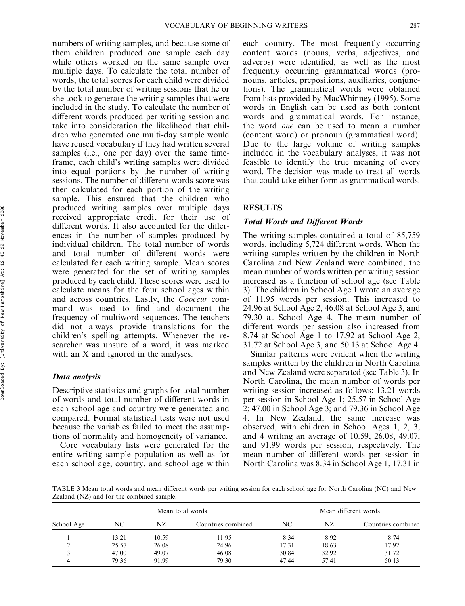numbers of writing samples, and because some of them children produced one sample each day while others worked on the same sample over multiple days. To calculate the total number of words, the total scores for each child were divided by the total number of writing sessions that he or she took to generate the writing samples that were included in the study. To calculate the number of different words produced per writing session and take into consideration the likelihood that children who generated one multi-day sample would have reused vocabulary if they had written several samples (i.e., one per day) over the same timeframe, each child's writing samples were divided into equal portions by the number of writing sessions. The number of different words-score was then calculated for each portion of the writing sample. This ensured that the children who produced writing samples over multiple days received appropriate credit for their use of different words. It also accounted for the differences in the number of samples produced by individual children. The total number of words and total number of different words were calculated for each writing sample. Mean scores were generated for the set of writing samples produced by each child. These scores were used to calculate means for the four school ages within and across countries. Lastly, the Cooccur command was used to find and document the frequency of multiword sequences. The teachers did not always provide translations for the children's spelling attempts. Whenever the researcher was unsure of a word, it was marked with an X and ignored in the analyses.

#### Data analysis

Descriptive statistics and graphs for total number of words and total number of different words in each school age and country were generated and compared. Formal statistical tests were not used because the variables failed to meet the assumptions of normality and homogeneity of variance.

Core vocabulary lists were generated for the entire writing sample population as well as for each school age, country, and school age within each country. The most frequently occurring content words (nouns, verbs, adjectives, and adverbs) were identified, as well as the most frequently occurring grammatical words (pronouns, articles, prepositions, auxiliaries, conjunctions). The grammatical words were obtained from lists provided by MacWhinney (1995). Some words in English can be used as both content words and grammatical words. For instance, the word one can be used to mean a number (content word) or pronoun (grammatical word). Due to the large volume of writing samples included in the vocabulary analyses, it was not feasible to identify the true meaning of every word. The decision was made to treat all words that could take either form as grammatical words.

### RESULTS

#### Total Words and Different Words

The writing samples contained a total of 85,759 words, including 5,724 different words. When the writing samples written by the children in North Carolina and New Zealand were combined, the mean number of words written per writing session increased as a function of school age (see Table 3). The children in School Age 1 wrote an average of 11.95 words per session. This increased to 24.96 at School Age 2, 46.08 at School Age 3, and 79.30 at School Age 4. The mean number of different words per session also increased from 8.74 at School Age 1 to 17.92 at School Age 2, 31.72 at School Age 3, and 50.13 at School Age 4.

Similar patterns were evident when the writing samples written by the children in North Carolina and New Zealand were separated (see Table 3). In North Carolina, the mean number of words per writing session increased as follows: 13.21 words per session in School Age 1; 25.57 in School Age 2; 47.00 in School Age 3; and 79.36 in School Age 4. In New Zealand, the same increase was observed, with children in School Ages 1, 2, 3, and 4 writing an average of 10.59, 26.08, 49.07, and 91.99 words per session, respectively. The mean number of different words per session in North Carolina was 8.34 in School Age 1, 17.31 in

TABLE 3 Mean total words and mean different words per writing session for each school age for North Carolina (NC) and New Zealand (NZ) and for the combined sample.

| School Age | Mean total words |       |                    | Mean different words |       |                    |  |
|------------|------------------|-------|--------------------|----------------------|-------|--------------------|--|
|            | NC.              | NZ    | Countries combined | NC                   | NZ    | Countries combined |  |
|            | 13.21            | 10.59 | 11.95              | 8.34                 | 8.92  | 8.74               |  |
|            | 25.57            | 26.08 | 24.96              | 17.31                | 18.63 | 17.92              |  |
|            | 47.00            | 49.07 | 46.08              | 30.84                | 32.92 | 31.72              |  |
|            | 79.36            | 91.99 | 79.30              | 47.44                | 57.41 | 50.13              |  |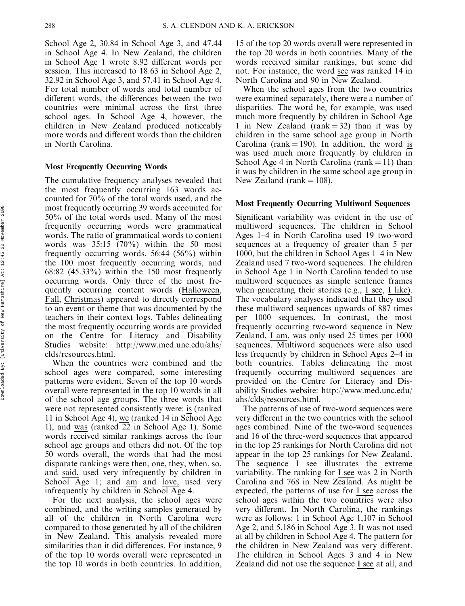School Age 2, 30.84 in School Age 3, and 47.44 in School Age 4. In New Zealand, the children in School Age 1 wrote 8.92 different words per session. This increased to 18.63 in School Age 2, 32.92 in School Age 3, and 57.41 in School Age 4. For total number of words and total number of different words, the differences between the two countries were minimal across the first three school ages. In School Age 4, however, the children in New Zealand produced noticeably more words and different words than the children in North Carolina.

## Most Frequently Occurring Words

The cumulative frequency analyses revealed that the most frequently occurring 163 words accounted for 70% of the total words used, and the most frequently occurring 39 words accounted for 50% of the total words used. Many of the most frequently occurring words were grammatical words. The ratio of grammatical words to content words was 35:15 (70%) within the 50 most frequently occurring words, 56:44 (56%) within the 100 most frequently occurring words, and 68:82 (45.33%) within the 150 most frequently occurring words. Only three of the most frequently occurring content words (Halloween, Fall, Christmas) appeared to directly correspond to an event or theme that was documented by the teachers in their context logs. Tables delineating the most frequently occurring words are provided on the Centre for Literacy and Disability Studies website: [http://www.med.unc.edu/ahs/](http://www.med.unc.edu/ahs/clds/resources.html) [clds/resources.html](http://www.med.unc.edu/ahs/clds/resources.html).

When the countries were combined and the school ages were compared, some interesting patterns were evident. Seven of the top 10 words overall were represented in the top 10 words in all of the school age groups. The three words that were not represented consistently were: is (ranked 11 in School Age 4), we (ranked 14 in School Age 1), and was (ranked 22 in School Age 1). Some words received similar rankings across the four school age groups and others did not. Of the top 50 words overall, the words that had the most disparate rankings were then, one, they, when, so, and said, used very infrequently by children in School Age 1; and am and love, used very infrequently by children in School Age 4.

For the next analysis, the school ages were combined, and the writing samples generated by all of the children in North Carolina were compared to those generated by all of the children in New Zealand. This analysis revealed more similarities than it did differences. For instance, 9 of the top 10 words overall were represented in the top 10 words in both countries. In addition, 15 of the top 20 words overall were represented in the top 20 words in both countries. Many of the words received similar rankings, but some did not. For instance, the word see was ranked 14 in North Carolina and 90 in New Zealand.

When the school ages from the two countries were examined separately, there were a number of disparities. The word he, for example, was used much more frequently by children in School Age 1 in New Zealand (rank  $=$  32) than it was by children in the same school age group in North Carolina (rank  $=$  190). In addition, the word is was used much more frequently by children in School Age 4 in North Carolina (rank  $= 11$ ) than it was by children in the same school age group in New Zealand (rank  $= 108$ ).

## Most Frequently Occurring Multiword Sequences

Significant variability was evident in the use of multiword sequences. The children in School Ages 1–4 in North Carolina used 19 two-word sequences at a frequency of greater than 5 per 1000, but the children in School Ages 1–4 in New Zealand used 7 two-word sequences. The children in School Age 1 in North Carolina tended to use multiword sequences as simple sentence frames when generating their stories (e.g., I see, I like). The vocabulary analyses indicated that they used these multiword sequences upwards of 887 times per 1000 sequences. In contrast, the most frequently occurring two-word sequence in New Zealand, I am, was only used 25 times per 1000 sequences. Multiword sequences were also used less frequently by children in School Ages 2–4 in both countries. Tables delineating the most frequently occurring multiword sequences are provided on the Centre for Literacy and Disability Studies website: [http://www.med.unc.edu/](http://www.med.unc.edu/ahs/clds/resources.html) [ahs/clds/resources.html.](http://www.med.unc.edu/ahs/clds/resources.html)

The patterns of use of two-word sequences were very different in the two countries with the school ages combined. Nine of the two-word sequences and 16 of the three-word sequences that appeared in the top 25 rankings for North Carolina did not appear in the top 25 rankings for New Zealand. The sequence I see illustrates the extreme variability. The ranking for I see was 2 in North Carolina and 768 in New Zealand. As might be expected, the patterns of use for I see across the school ages within the two countries were also very different. In North Carolina, the rankings were as follows: 1 in School Age 1,107 in School Age 2, and 5,186 in School Age 3. It was not used at all by children in School Age 4. The pattern for the children in New Zealand was very different. The children in School Ages 3 and 4 in New Zealand did not use the sequence I see at all, and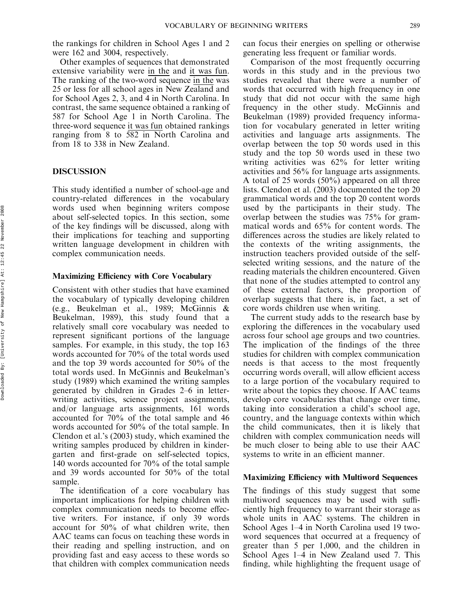the rankings for children in School Ages 1 and 2 were 162 and 3004, respectively.

Other examples of sequences that demonstrated extensive variability were in the and it was fun. The ranking of the two-word sequence in the was 25 or less for all school ages in New Zealand and for School Ages 2, 3, and 4 in North Carolina. In contrast, the same sequence obtained a ranking of 587 for School Age 1 in North Carolina. The three-word sequence it was fun obtained rankings ranging from 8 to 582 in North Carolina and from 18 to 338 in New Zealand.

## DISCUSSION

This study identified a number of school-age and country-related differences in the vocabulary words used when beginning writers compose about self-selected topics. In this section, some of the key findings will be discussed, along with their implications for teaching and supporting written language development in children with complex communication needs.

#### Maximizing Efficiency with Core Vocabulary

Consistent with other studies that have examined the vocabulary of typically developing children (e.g., Beukelman et al., 1989; McGinnis & Beukelman, 1989), this study found that a relatively small core vocabulary was needed to represent significant portions of the language samples. For example, in this study, the top 163 words accounted for 70% of the total words used and the top 39 words accounted for 50% of the total words used. In McGinnis and Beukelman's study (1989) which examined the writing samples generated by children in Grades 2–6 in letterwriting activities, science project assignments, and/or language arts assignments, 161 words accounted for 70% of the total sample and 46 words accounted for 50% of the total sample. In Clendon et al.'s (2003) study, which examined the writing samples produced by children in kindergarten and first-grade on self-selected topics, 140 words accounted for 70% of the total sample and 39 words accounted for 50% of the total sample.

The identification of a core vocabulary has important implications for helping children with complex communication needs to become effective writers. For instance, if only 39 words account for 50% of what children write, then AAC teams can focus on teaching these words in their reading and spelling instruction, and on providing fast and easy access to these words so that children with complex communication needs

can focus their energies on spelling or otherwise generating less frequent or familiar words.

Comparison of the most frequently occurring words in this study and in the previous two studies revealed that there were a number of words that occurred with high frequency in one study that did not occur with the same high frequency in the other study. McGinnis and Beukelman (1989) provided frequency information for vocabulary generated in letter writing activities and language arts assignments. The overlap between the top 50 words used in this study and the top 50 words used in these two writing activities was 62% for letter writing activities and 56% for language arts assignments. A total of 25 words (50%) appeared on all three lists. Clendon et al. (2003) documented the top 20 grammatical words and the top 20 content words used by the participants in their study. The overlap between the studies was 75% for grammatical words and 65% for content words. The differences across the studies are likely related to the contexts of the writing assignments, the instruction teachers provided outside of the selfselected writing sessions, and the nature of the reading materials the children encountered. Given that none of the studies attempted to control any of these external factors, the proportion of overlap suggests that there is, in fact, a set of core words children use when writing.

The current study adds to the research base by exploring the differences in the vocabulary used across four school age groups and two countries. The implication of the findings of the three studies for children with complex communication needs is that access to the most frequently occurring words overall, will allow efficient access to a large portion of the vocabulary required to write about the topics they choose. If AAC teams develop core vocabularies that change over time, taking into consideration a child's school age, country, and the language contexts within which the child communicates, then it is likely that children with complex communication needs will be much closer to being able to use their AAC systems to write in an efficient manner.

#### Maximizing Efficiency with Multiword Sequences

The findings of this study suggest that some multiword sequences may be used with sufficiently high frequency to warrant their storage as whole units in AAC systems. The children in School Ages 1–4 in North Carolina used 19 twoword sequences that occurred at a frequency of greater than 5 per 1,000, and the children in School Ages 1–4 in New Zealand used 7. This finding, while highlighting the frequent usage of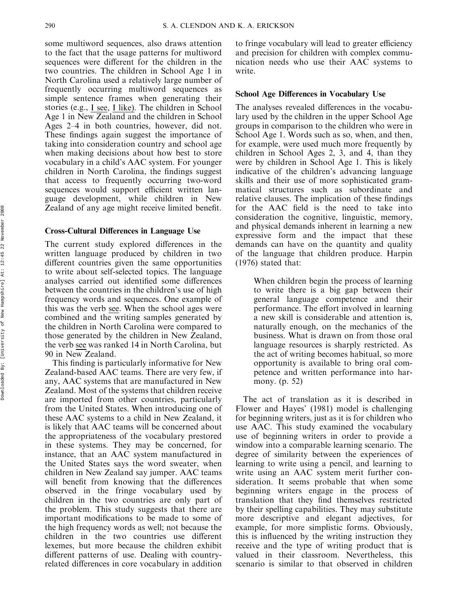some multiword sequences, also draws attention to the fact that the usage patterns for multiword sequences were different for the children in the two countries. The children in School Age 1 in North Carolina used a relatively large number of frequently occurring multiword sequences as simple sentence frames when generating their stories (e.g., I see, I like). The children in School Age 1 in New Zealand and the children in School Ages 2–4 in both countries, however, did not. These findings again suggest the importance of taking into consideration country and school age when making decisions about how best to store vocabulary in a child's AAC system. For younger children in North Carolina, the findings suggest that access to frequently occurring two-word sequences would support efficient written language development, while children in New Zealand of any age might receive limited benefit.

### Cross-Cultural Differences in Language Use

The current study explored differences in the written language produced by children in two different countries given the same opportunities to write about self-selected topics. The language analyses carried out identified some differences between the countries in the children's use of high frequency words and sequences. One example of this was the verb see. When the school ages were combined and the writing samples generated by the children in North Carolina were compared to those generated by the children in New Zealand, the verb see was ranked 14 in North Carolina, but 90 in New Zealand.

This finding is particularly informative for New Zealand-based AAC teams. There are very few, if any, AAC systems that are manufactured in New Zealand. Most of the systems that children receive are imported from other countries, particularly from the United States. When introducing one of these AAC systems to a child in New Zealand, it is likely that AAC teams will be concerned about the appropriateness of the vocabulary prestored in these systems. They may be concerned, for instance, that an AAC system manufactured in the United States says the word sweater, when children in New Zealand say jumper. AAC teams will benefit from knowing that the differences observed in the fringe vocabulary used by children in the two countries are only part of the problem. This study suggests that there are important modifications to be made to some of the high frequency words as well; not because the children in the two countries use different lexemes, but more because the children exhibit different patterns of use. Dealing with countryrelated differences in core vocabulary in addition

to fringe vocabulary will lead to greater efficiency and precision for children with complex communication needs who use their AAC systems to write.

#### School Age Differences in Vocabulary Use

The analyses revealed differences in the vocabulary used by the children in the upper School Age groups in comparison to the children who were in School Age 1. Words such as so, when, and then, for example, were used much more frequently by children in School Ages 2, 3, and 4, than they were by children in School Age 1. This is likely indicative of the children's advancing language skills and their use of more sophisticated grammatical structures such as subordinate and relative clauses. The implication of these findings for the AAC field is the need to take into consideration the cognitive, linguistic, memory, and physical demands inherent in learning a new expressive form and the impact that these demands can have on the quantity and quality of the language that children produce. Harpin (1976) stated that:

When children begin the process of learning to write there is a big gap between their general language competence and their performance. The effort involved in learning a new skill is considerable and attention is, naturally enough, on the mechanics of the business. What is drawn on from those oral language resources is sharply restricted. As the act of writing becomes habitual, so more opportunity is available to bring oral competence and written performance into harmony. (p. 52)

The act of translation as it is described in Flower and Hayes' (1981) model is challenging for beginning writers, just as it is for children who use AAC. This study examined the vocabulary use of beginning writers in order to provide a window into a comparable learning scenario. The degree of similarity between the experiences of learning to write using a pencil, and learning to write using an AAC system merit further consideration. It seems probable that when some beginning writers engage in the process of translation that they find themselves restricted by their spelling capabilities. They may substitute more descriptive and elegant adjectives, for example, for more simplistic forms. Obviously, this is influenced by the writing instruction they receive and the type of writing product that is valued in their classroom. Nevertheless, this scenario is similar to that observed in children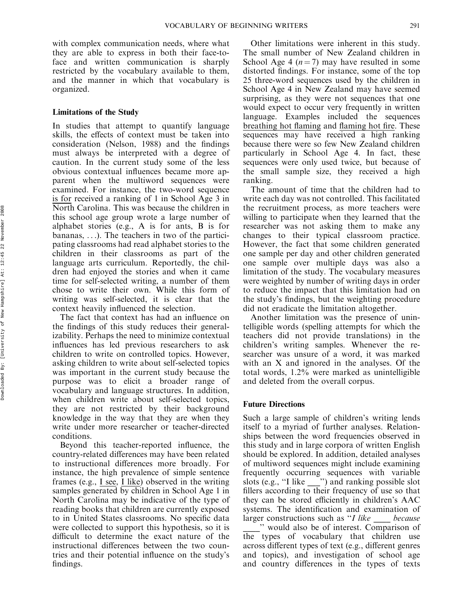with complex communication needs, where what they are able to express in both their face-toface and written communication is sharply restricted by the vocabulary available to them, and the manner in which that vocabulary is organized.

#### Limitations of the Study

In studies that attempt to quantify language skills, the effects of context must be taken into consideration (Nelson, 1988) and the findings must always be interpreted with a degree of caution. In the current study some of the less obvious contextual influences became more apparent when the multiword sequences were examined. For instance, the two-word sequence is for received a ranking of 1 in School Age 3 in North Carolina. This was because the children in this school age group wrote a large number of alphabet stories (e.g., A is for ants, B is for bananas, . . .). The teachers in two of the participating classrooms had read alphabet stories to the children in their classrooms as part of the language arts curriculum. Reportedly, the children had enjoyed the stories and when it came time for self-selected writing, a number of them chose to write their own. While this form of writing was self-selected, it is clear that the context heavily influenced the selection.

The fact that context has had an influence on the findings of this study reduces their generalizability. Perhaps the need to minimize contextual influences has led previous researchers to ask children to write on controlled topics. However, asking children to write about self-selected topics was important in the current study because the purpose was to elicit a broader range of vocabulary and language structures. In addition, when children write about self-selected topics, they are not restricted by their background knowledge in the way that they are when they write under more researcher or teacher-directed conditions.

Beyond this teacher-reported influence, the country-related differences may have been related to instructional differences more broadly. For instance, the high prevalence of simple sentence frames (e.g., I see, I like) observed in the writing samples generated by children in School Age 1 in North Carolina may be indicative of the type of reading books that children are currently exposed to in United States classrooms. No specific data were collected to support this hypothesis, so it is difficult to determine the exact nature of the instructional differences between the two countries and their potential influence on the study's findings.

Other limitations were inherent in this study. The small number of New Zealand children in School Age 4 ( $n = 7$ ) may have resulted in some distorted findings. For instance, some of the top 25 three-word sequences used by the children in School Age 4 in New Zealand may have seemed surprising, as they were not sequences that one would expect to occur very frequently in written language. Examples included the sequences breathing hot flaming and flaming hot fire. These sequences may have received a high ranking because there were so few New Zealand children particularly in School Age 4. In fact, these sequences were only used twice, but because of the small sample size, they received a high ranking.

The amount of time that the children had to write each day was not controlled. This facilitated the recruitment process, as more teachers were willing to participate when they learned that the researcher was not asking them to make any changes to their typical classroom practice. However, the fact that some children generated one sample per day and other children generated one sample over multiple days was also a limitation of the study. The vocabulary measures were weighted by number of writing days in order to reduce the impact that this limitation had on the study's findings, but the weighting procedure did not eradicate the limitation altogether.

Another limitation was the presence of unintelligible words (spelling attempts for which the teachers did not provide translations) in the children's writing samples. Whenever the researcher was unsure of a word, it was marked with an X and ignored in the analyses. Of the total words, 1.2% were marked as unintelligible and deleted from the overall corpus.

## Future Directions

Such a large sample of children's writing lends itself to a myriad of further analyses. Relationships between the word frequencies observed in this study and in large corpora of written English should be explored. In addition, detailed analyses of multiword sequences might include examining frequently occurring sequences with variable slots (e.g., "I like  $\cdots$ ) and ranking possible slot fillers according to their frequency of use so that they can be stored efficiently in children's AAC systems. The identification and examination of larger constructions such as  $\mathcal{F}$  like because

\_\_\_\_'' would also be of interest. Comparison of the types of vocabulary that children use across different types of text (e.g., different genres and topics), and investigation of school age and country differences in the types of texts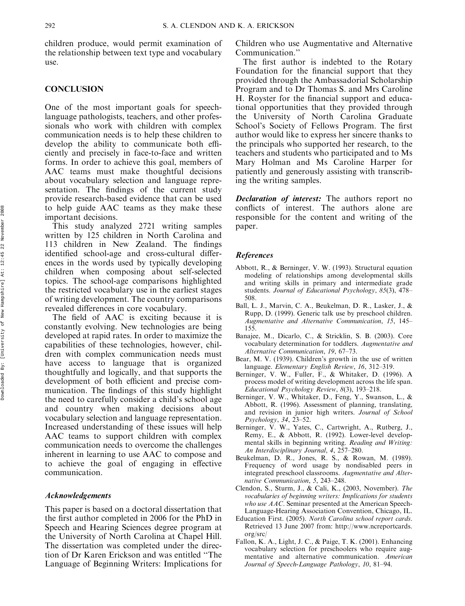children produce, would permit examination of the relationship between text type and vocabulary use.

## **CONCLUSION**

One of the most important goals for speechlanguage pathologists, teachers, and other professionals who work with children with complex communication needs is to help these children to develop the ability to communicate both efficiently and precisely in face-to-face and written forms. In order to achieve this goal, members of AAC teams must make thoughtful decisions about vocabulary selection and language representation. The findings of the current study provide research-based evidence that can be used to help guide AAC teams as they make these important decisions.

This study analyzed 2721 writing samples written by 125 children in North Carolina and 113 children in New Zealand. The findings identified school-age and cross-cultural differences in the words used by typically developing children when composing about self-selected topics. The school-age comparisons highlighted the restricted vocabulary use in the earliest stages of writing development. The country comparisons revealed differences in core vocabulary.

The field of AAC is exciting because it is constantly evolving. New technologies are being developed at rapid rates. In order to maximize the capabilities of these technologies, however, children with complex communication needs must have access to language that is organized thoughtfully and logically, and that supports the development of both efficient and precise communication. The findings of this study highlight the need to carefully consider a child's school age and country when making decisions about vocabulary selection and language representation. Increased understanding of these issues will help AAC teams to support children with complex communication needs to overcome the challenges inherent in learning to use AAC to compose and to achieve the goal of engaging in effective communication.

#### Acknowledgements

This paper is based on a doctoral dissertation that the first author completed in 2006 for the PhD in Speech and Hearing Sciences degree program at the University of North Carolina at Chapel Hill. The dissertation was completed under the direction of Dr Karen Erickson and was entitled ''The Language of Beginning Writers: Implications for

Children who use Augmentative and Alternative Communication.''

The first author is indebted to the Rotary Foundation for the financial support that they provided through the Ambassadorial Scholarship Program and to Dr Thomas S. and Mrs Caroline H. Royster for the financial support and educational opportunities that they provided through the University of North Carolina Graduate School's Society of Fellows Program. The first author would like to express her sincere thanks to the principals who supported her research, to the teachers and students who participated and to Ms Mary Holman and Ms Caroline Harper for patiently and generously assisting with transcribing the writing samples.

**Declaration of interest:** The authors report no conflicts of interest. The authors alone are responsible for the content and writing of the paper.

#### References

- Abbott, R., & Berninger, V. W. (1993). Structural equation modeling of relationships among developmental skills and writing skills in primary and intermediate grade students. Journal of Educational Psychology, 85(3), 478– 508.
- Ball, L. J., Marvin, C. A., Beukelman, D. R., Lasker, J., & Rupp, D. (1999). Generic talk use by preschool children. Augmentative and Alternative Communication, 15, 145– 155.
- Banajee, M., Dicarlo, C., & Stricklin, S. B. (2003). Core vocabulary determination for toddlers. Augmentative and Alternative Communication, 19, 67–73.
- Bear, M. V. (1939). Children's growth in the use of written language. Elementary English Review, 16, 312–319.
- Berninger, V. W., Fuller, F., & Whitaker, D. (1996). A process model of writing development across the life span. Educational Psychology Review, 8(3), 193–218.
- Berninger, V. W., Whitaker, D., Feng, Y., Swanson, L., & Abbott, R. (1996). Assessment of planning, translating, and revision in junior high writers. Journal of School Psychology, 34, 23–52.
- Berninger, V. W., Yates, C., Cartwright, A., Rutberg, J., Remy, E., & Abbott, R. (1992). Lower-level developmental skills in beginning writing. Reading and Writing: An Interdisciplinary Journal, 4, 257–280.
- Beukelman, D. R., Jones, R. S., & Rowan, M. (1989). Frequency of word usage by nondisabled peers in integrated preschool classrooms. Augmentative and Alternative Communication, 5, 243–248.
- Clendon, S., Sturm, J., & Cali, K., (2003, November). The vocabularies of beginning writers: Implications for students who use AAC. Seminar presented at the American Speech-Language-Hearing Association Convention, Chicago, IL.
- Education First. (2005). North Carolina school report cards. Retrieved 13 June 2007 from: [http://www.ncreportcards.](http://www.ncreportcards.org/src/) [org/src/](http://www.ncreportcards.org/src/)
- Fallon, K. A., Light, J. C., & Paige, T. K. (2001). Enhancing vocabulary selection for preschoolers who require augmentative and alternative communication. American Journal of Speech-Language Pathology, 10, 81–94.